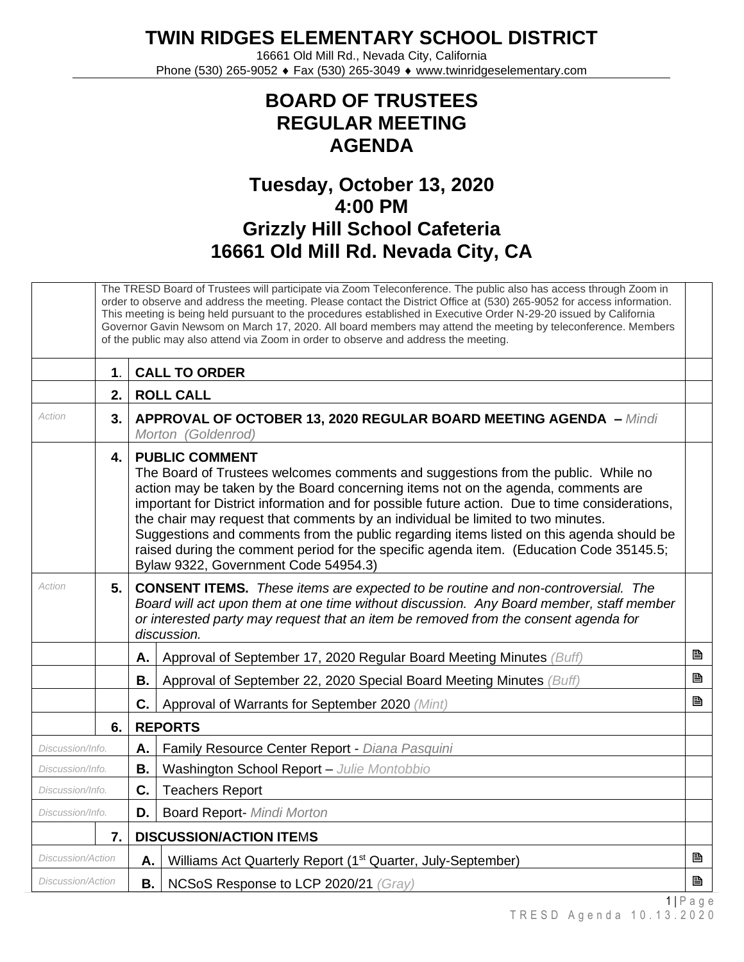**TWIN RIDGES ELEMENTARY SCHOOL DISTRICT**

16661 Old Mill Rd., Nevada City, California Phone (530) 265-9052 ♦ Fax (530) 265-3049 ♦ www.twinridgeselementary.com

## **BOARD OF TRUSTEES REGULAR MEETING AGENDA**

## **Tuesday, October 13, 2020 4:00 PM Grizzly Hill School Cafeteria 16661 Old Mill Rd. Nevada City, CA**

|                          | The TRESD Board of Trustees will participate via Zoom Teleconference. The public also has access through Zoom in<br>order to observe and address the meeting. Please contact the District Office at (530) 265-9052 for access information.<br>This meeting is being held pursuant to the procedures established in Executive Order N-29-20 issued by California<br>Governor Gavin Newsom on March 17, 2020. All board members may attend the meeting by teleconference. Members<br>of the public may also attend via Zoom in order to observe and address the meeting. |                                                                                                                                                                                                                                                                                                                                                                                                                                                                                                                                                                                                                     |                                                                         |            |  |
|--------------------------|------------------------------------------------------------------------------------------------------------------------------------------------------------------------------------------------------------------------------------------------------------------------------------------------------------------------------------------------------------------------------------------------------------------------------------------------------------------------------------------------------------------------------------------------------------------------|---------------------------------------------------------------------------------------------------------------------------------------------------------------------------------------------------------------------------------------------------------------------------------------------------------------------------------------------------------------------------------------------------------------------------------------------------------------------------------------------------------------------------------------------------------------------------------------------------------------------|-------------------------------------------------------------------------|------------|--|
|                          | 1.                                                                                                                                                                                                                                                                                                                                                                                                                                                                                                                                                                     |                                                                                                                                                                                                                                                                                                                                                                                                                                                                                                                                                                                                                     | <b>CALL TO ORDER</b>                                                    |            |  |
|                          | 2.                                                                                                                                                                                                                                                                                                                                                                                                                                                                                                                                                                     | <b>ROLL CALL</b>                                                                                                                                                                                                                                                                                                                                                                                                                                                                                                                                                                                                    |                                                                         |            |  |
| Action                   | 3.                                                                                                                                                                                                                                                                                                                                                                                                                                                                                                                                                                     | APPROVAL OF OCTOBER 13, 2020 REGULAR BOARD MEETING AGENDA - Mindi<br>Morton (Goldenrod)                                                                                                                                                                                                                                                                                                                                                                                                                                                                                                                             |                                                                         |            |  |
|                          | 4.                                                                                                                                                                                                                                                                                                                                                                                                                                                                                                                                                                     | <b>PUBLIC COMMENT</b><br>The Board of Trustees welcomes comments and suggestions from the public. While no<br>action may be taken by the Board concerning items not on the agenda, comments are<br>important for District information and for possible future action. Due to time considerations,<br>the chair may request that comments by an individual be limited to two minutes.<br>Suggestions and comments from the public regarding items listed on this agenda should be<br>raised during the comment period for the specific agenda item. (Education Code 35145.5;<br>Bylaw 9322, Government Code 54954.3) |                                                                         |            |  |
| Action                   | 5.                                                                                                                                                                                                                                                                                                                                                                                                                                                                                                                                                                     | <b>CONSENT ITEMS.</b> These items are expected to be routine and non-controversial. The<br>Board will act upon them at one time without discussion. Any Board member, staff member<br>or interested party may request that an item be removed from the consent agenda for<br>discussion.                                                                                                                                                                                                                                                                                                                            |                                                                         |            |  |
|                          |                                                                                                                                                                                                                                                                                                                                                                                                                                                                                                                                                                        | Α.                                                                                                                                                                                                                                                                                                                                                                                                                                                                                                                                                                                                                  | Approval of September 17, 2020 Regular Board Meeting Minutes (Buff)     | B          |  |
|                          |                                                                                                                                                                                                                                                                                                                                                                                                                                                                                                                                                                        | В.                                                                                                                                                                                                                                                                                                                                                                                                                                                                                                                                                                                                                  | Approval of September 22, 2020 Special Board Meeting Minutes (Buff)     | B          |  |
|                          |                                                                                                                                                                                                                                                                                                                                                                                                                                                                                                                                                                        | C.                                                                                                                                                                                                                                                                                                                                                                                                                                                                                                                                                                                                                  | Approval of Warrants for September 2020 (Mint)                          | P          |  |
|                          | 6.                                                                                                                                                                                                                                                                                                                                                                                                                                                                                                                                                                     | <b>REPORTS</b>                                                                                                                                                                                                                                                                                                                                                                                                                                                                                                                                                                                                      |                                                                         |            |  |
| Discussion/Info.         |                                                                                                                                                                                                                                                                                                                                                                                                                                                                                                                                                                        | Α.                                                                                                                                                                                                                                                                                                                                                                                                                                                                                                                                                                                                                  | Family Resource Center Report - Diana Pasquini                          |            |  |
| Discussion/Info.         |                                                                                                                                                                                                                                                                                                                                                                                                                                                                                                                                                                        | Β.                                                                                                                                                                                                                                                                                                                                                                                                                                                                                                                                                                                                                  | Washington School Report - Julie Montobbio                              |            |  |
| Discussion/Info.         |                                                                                                                                                                                                                                                                                                                                                                                                                                                                                                                                                                        | C.                                                                                                                                                                                                                                                                                                                                                                                                                                                                                                                                                                                                                  | <b>Teachers Report</b>                                                  |            |  |
| Discussion/Info.         |                                                                                                                                                                                                                                                                                                                                                                                                                                                                                                                                                                        | D.                                                                                                                                                                                                                                                                                                                                                                                                                                                                                                                                                                                                                  | <b>Board Report- Mindi Morton</b>                                       |            |  |
| 7.                       |                                                                                                                                                                                                                                                                                                                                                                                                                                                                                                                                                                        |                                                                                                                                                                                                                                                                                                                                                                                                                                                                                                                                                                                                                     | <b>DISCUSSION/ACTION ITEMS</b>                                          |            |  |
| <b>Discussion/Action</b> |                                                                                                                                                                                                                                                                                                                                                                                                                                                                                                                                                                        | Α.                                                                                                                                                                                                                                                                                                                                                                                                                                                                                                                                                                                                                  | Williams Act Quarterly Report (1 <sup>st</sup> Quarter, July-September) | B          |  |
| <i>Discussion/Action</i> |                                                                                                                                                                                                                                                                                                                                                                                                                                                                                                                                                                        | В.                                                                                                                                                                                                                                                                                                                                                                                                                                                                                                                                                                                                                  | NCSoS Response to LCP 2020/21 (Gray)                                    | B          |  |
|                          |                                                                                                                                                                                                                                                                                                                                                                                                                                                                                                                                                                        |                                                                                                                                                                                                                                                                                                                                                                                                                                                                                                                                                                                                                     |                                                                         | $1$   Page |  |